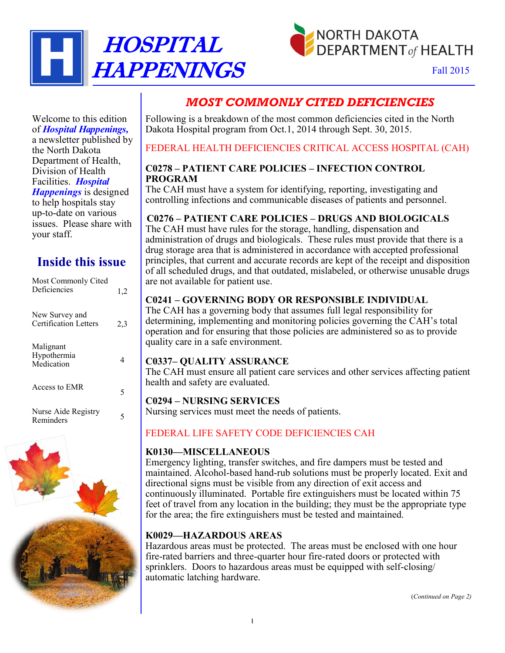



## *MOST COMMONLY CITED DEFICIENCIES*

Following is a breakdown of the most common deficiencies cited in the North Dakota Hospital program from Oct.1, 2014 through Sept. 30, 2015.

## FEDERAL HEALTH DEFICIENCIES CRITICAL ACCESS HOSPITAL (CAH)

#### **C0278 – PATIENT CARE POLICIES – INFECTION CONTROL PROGRAM**

The CAH must have a system for identifying, reporting, investigating and controlling infections and communicable diseases of patients and personnel.

## **C0276 – PATIENT CARE POLICIES – DRUGS AND BIOLOGICALS**

The CAH must have rules for the storage, handling, dispensation and administration of drugs and biologicals. These rules must provide that there is a drug storage area that is administered in accordance with accepted professional principles, that current and accurate records are kept of the receipt and disposition of all scheduled drugs, and that outdated, mislabeled, or otherwise unusable drugs are not available for patient use.

## **C0241 – GOVERNING BODY OR RESPONSIBLE INDIVIDUAL**

The CAH has a governing body that assumes full legal responsibility for determining, implementing and monitoring policies governing the CAH's total operation and for ensuring that those policies are administered so as to provide quality care in a safe environment.

#### **C0337– QUALITY ASSURANCE**

The CAH must ensure all patient care services and other services affecting patient health and safety are evaluated.

## **C0294 – NURSING SERVICES**

Nursing services must meet the needs of patients.

## FEDERAL LIFE SAFETY CODE DEFICIENCIES CAH

#### **K0130—MISCELLANEOUS**

Emergency lighting, transfer switches, and fire dampers must be tested and maintained. Alcohol-based hand-rub solutions must be properly located. Exit and directional signs must be visible from any direction of exit access and continuously illuminated. Portable fire extinguishers must be located within 75 feet of travel from any location in the building; they must be the appropriate type for the area; the fire extinguishers must be tested and maintained.

## **K0029—HAZARDOUS AREAS**

Hazardous areas must be protected. The areas must be enclosed with one hour fire-rated barriers and three-quarter hour fire-rated doors or protected with sprinklers. Doors to hazardous areas must be equipped with self-closing/ automatic latching hardware.

(*Continued on Page 2)*

Welcome to this edition of *Hospital Happenings,* a newsletter published by the North Dakota Department of Health, Division of Health Facilities. *Hospital Happenings* is designed to help hospitals stay up-to-date on various issues. Please share with your staff.

## **Inside this issue**

| Most Commonly Cited<br>Deficiencies     | 1,2 |
|-----------------------------------------|-----|
| New Survey and<br>Certification Letters | 2,3 |
| Malignant<br>Hypothermia<br>Medication  | 4   |
| Access to EMR                           | 5   |
| Nurse Aide Registry<br>Reminders        | 5   |
|                                         |     |

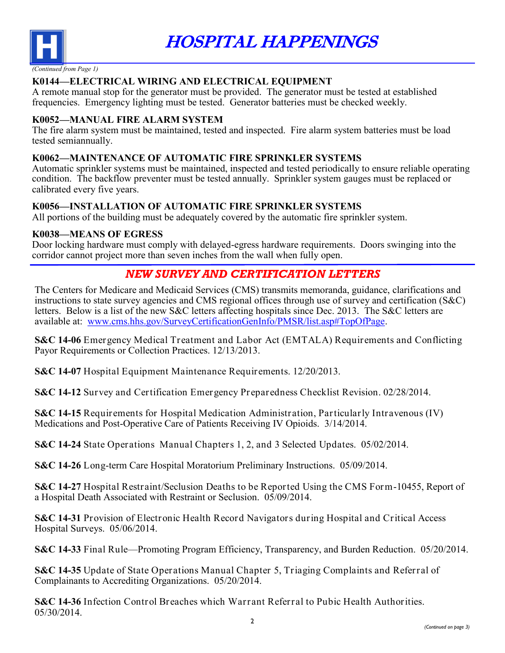

HOSPITAL HAPPENINGS

## **K0144—ELECTRICAL WIRING AND ELECTRICAL EQUIPMENT**

A remote manual stop for the generator must be provided. The generator must be tested at established frequencies. Emergency lighting must be tested. Generator batteries must be checked weekly.

## **K0052—MANUAL FIRE ALARM SYSTEM**

The fire alarm system must be maintained, tested and inspected. Fire alarm system batteries must be load tested semiannually.

## **K0062—MAINTENANCE OF AUTOMATIC FIRE SPRINKLER SYSTEMS**

Automatic sprinkler systems must be maintained, inspected and tested periodically to ensure reliable operating condition. The backflow preventer must be tested annually. Sprinkler system gauges must be replaced or calibrated every five years.

## **K0056—INSTALLATION OF AUTOMATIC FIRE SPRINKLER SYSTEMS**

All portions of the building must be adequately covered by the automatic fire sprinkler system.

## **K0038—MEANS OF EGRESS**

Door locking hardware must comply with delayed-egress hardware requirements. Doors swinging into the corridor cannot project more than seven inches from the wall when fully open.

## *NEW SURVEY AND CERTIFICATION LETTERS*

The Centers for Medicare and Medicaid Services (CMS) transmits memoranda, guidance, clarifications and instructions to state survey agencies and CMS regional offices through use of survey and certification (S&C) letters. Below is a list of the new S&C letters affecting hospitals since Dec. 2013. The S&C letters are available at: [www.cms.hhs.gov/SurveyCertificationGenInfo/PMSR/list.asp#TopOfPage.](http://www.cms.hhs.gov/SurveyCertificationGenInfo/PMSR/list.asp#TopOfPage)

**S&C 14-06** Emergency Medical Treatment and Labor Act (EMTALA) Requirements and Conflicting Payor Requirements or Collection Practices. 12/13/2013.

**S&C 14-07** Hospital Equipment Maintenance Requirements. 12/20/2013.

**S&C 14-12** Survey and Certification Emergency Preparedness Checklist Revision. 02/28/2014.

**S&C 14-15** Requirements for Hospital Medication Administration, Particularly Intravenous (IV) Medications and Post-Operative Care of Patients Receiving IV Opioids. 3/14/2014.

**S&C 14-24** State Operations Manual Chapters 1, 2, and 3 Selected Updates. 05/02/2014.

**S&C 14-26** Long-term Care Hospital Moratorium Preliminary Instructions. 05/09/2014.

**S&C 14-27** Hospital Restraint/Seclusion Deaths to be Reported Using the CMS Form-10455, Report of a Hospital Death Associated with Restraint or Seclusion. 05/09/2014.

**S&C 14-31** Provision of Electronic Health Record Navigators during Hospital and Critical Access Hospital Surveys. 05/06/2014.

**S&C 14-33** Final Rule—Promoting Program Efficiency, Transparency, and Burden Reduction. 05/20/2014.

**S&C 14-35** Update of State Operations Manual Chapter 5, Triaging Complaints and Referral of Complainants to Accrediting Organizations. 05/20/2014.

**S&C 14-36** Infection Control Breaches which Warrant Referral to Pubic Health Authorities. 05/30/2014.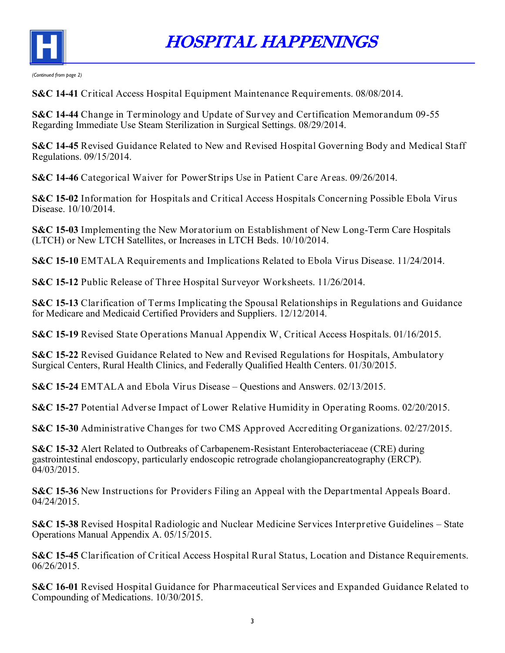

HOSPITAL HAPPENINGS

*(Continued from page 2)*

**S&C 14-41** Critical Access Hospital Equipment Maintenance Requirements. 08/08/2014.

**S&C 14-44** Change in Terminology and Update of Survey and Certification Memorandum 09-55 Regarding Immediate Use Steam Sterilization in Surgical Settings. 08/29/2014.

**S&C 14-45** Revised Guidance Related to New and Revised Hospital Governing Body and Medical Staff Regulations. 09/15/2014.

**S&C 14-46** Categorical Waiver for PowerStrips Use in Patient Care Areas. 09/26/2014.

**S&C 15-02** Information for Hospitals and Critical Access Hospitals Concerning Possible Ebola Virus Disease. 10/10/2014.

**S&C 15-03** Implementing the New Moratorium on Establishment of New Long-Term Care Hospitals (LTCH) or New LTCH Satellites, or Increases in LTCH Beds. 10/10/2014.

**S&C 15-10** EMTALA Requirements and Implications Related to Ebola Virus Disease. 11/24/2014.

**S&C 15-12** Public Release of Three Hospital Surveyor Worksheets. 11/26/2014.

**S&C 15-13** Clarification of Terms Implicating the Spousal Relationships in Regulations and Guidance for Medicare and Medicaid Certified Providers and Suppliers. 12/12/2014.

**S&C 15-19** Revised State Operations Manual Appendix W, Critical Access Hospitals. 01/16/2015.

**S&C 15-22** Revised Guidance Related to New and Revised Regulations for Hospitals, Ambulatory Surgical Centers, Rural Health Clinics, and Federally Qualified Health Centers. 01/30/2015.

**S&C 15-24** EMTALA and Ebola Virus Disease – Questions and Answers. 02/13/2015.

**S&C 15-27** Potential Adverse Impact of Lower Relative Humidity in Operating Rooms. 02/20/2015.

**S&C 15-30** Administrative Changes for two CMS Approved Accrediting Organizations. 02/27/2015.

**S&C 15-32** Alert Related to Outbreaks of Carbapenem-Resistant Enterobacteriaceae (CRE) during gastrointestinal endoscopy, particularly endoscopic retrograde cholangiopancreatography (ERCP).  $04/03/2015$ .

**S&C 15-36** New Instructions for Providers Filing an Appeal with the Departmental Appeals Board. 04/24/2015.

**S&C 15-38** Revised Hospital Radiologic and Nuclear Medicine Services Interpretive Guidelines – State Operations Manual Appendix A. 05/15/2015.

**S&C 15-45** Clarification of Critical Access Hospital Rural Status, Location and Distance Requirements. 06/26/2015.

**S&C 16-01** Revised Hospital Guidance for Pharmaceutical Services and Expanded Guidance Related to Compounding of Medications. 10/30/2015.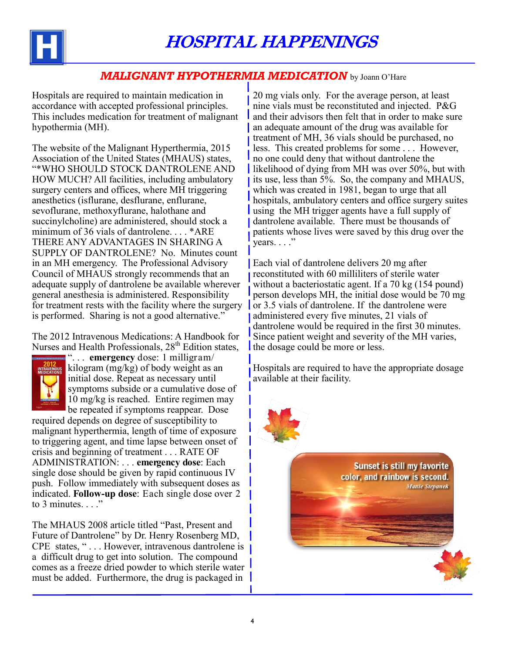

## *MALIGNANT HYPOTHERMIA MEDICATION* by Joann O'Hare

Hospitals are required to maintain medication in accordance with accepted professional principles. This includes medication for treatment of malignant hypothermia (MH).

The website of the Malignant Hyperthermia, 2015 Association of the United States (MHAUS) states, "\*WHO SHOULD STOCK DANTROLENE AND HOW MUCH? All facilities, including ambulatory surgery centers and offices, where MH triggering anesthetics (isflurane, desflurane, enflurane, sevoflurane, methoxyflurane, halothane and succinylcholine) are administered, should stock a minimum of 36 vials of dantrolene. . . . \*ARE THERE ANY ADVANTAGES IN SHARING A SUPPLY OF DANTROLENE? No. Minutes count in an MH emergency. The Professional Advisory Council of MHAUS strongly recommends that an adequate supply of dantrolene be available wherever general anesthesia is administered. Responsibility for treatment rests with the facility where the surgery is performed. Sharing is not a good alternative."

The 2012 Intravenous Medications: A Handbook for Nurses and Health Professionals,  $28<sup>th</sup>$  Edition states,



". . . **emergency** dose: 1 milligram/ kilogram (mg/kg) of body weight as an initial dose. Repeat as necessary until symptoms subside or a cumulative dose of 10 mg/kg is reached. Entire regimen may be repeated if symptoms reappear. Dose

required depends on degree of susceptibility to malignant hyperthermia, length of time of exposure to triggering agent, and time lapse between onset of crisis and beginning of treatment . . . RATE OF ADMINISTRATION: . . . **emergency dose**: Each single dose should be given by rapid continuous IV push. Follow immediately with subsequent doses as indicated. **Follow-up dose**: Each single dose over 2 to 3 minutes.  $\ldots$ ."

The MHAUS 2008 article titled "Past, Present and Future of Dantrolene" by Dr. Henry Rosenberg MD, CPE states, " . . . However, intravenous dantrolene is a difficult drug to get into solution. The compound comes as a freeze dried powder to which sterile water must be added. Furthermore, the drug is packaged in

20 mg vials only. For the average person, at least nine vials must be reconstituted and injected. P&G and their advisors then felt that in order to make sure an adequate amount of the drug was available for treatment of MH, 36 vials should be purchased, no less. This created problems for some . . . However, no one could deny that without dantrolene the likelihood of dying from MH was over 50%, but with its use, less than 5%. So, the company and MHAUS, which was created in 1981, began to urge that all hospitals, ambulatory centers and office surgery suites using the MH trigger agents have a full supply of dantrolene available. There must be thousands of patients whose lives were saved by this drug over the  $years. . . ."$ 

Each vial of dantrolene delivers 20 mg after reconstituted with 60 milliliters of sterile water without a bacteriostatic agent. If a 70 kg (154 pound) person develops MH, the initial dose would be 70 mg or 3.5 vials of dantrolene. If the dantrolene were administered every five minutes, 21 vials of dantrolene would be required in the first 30 minutes. Since patient weight and severity of the MH varies, the dosage could be more or less.

Hospitals are required to have the appropriate dosage available at their facility.